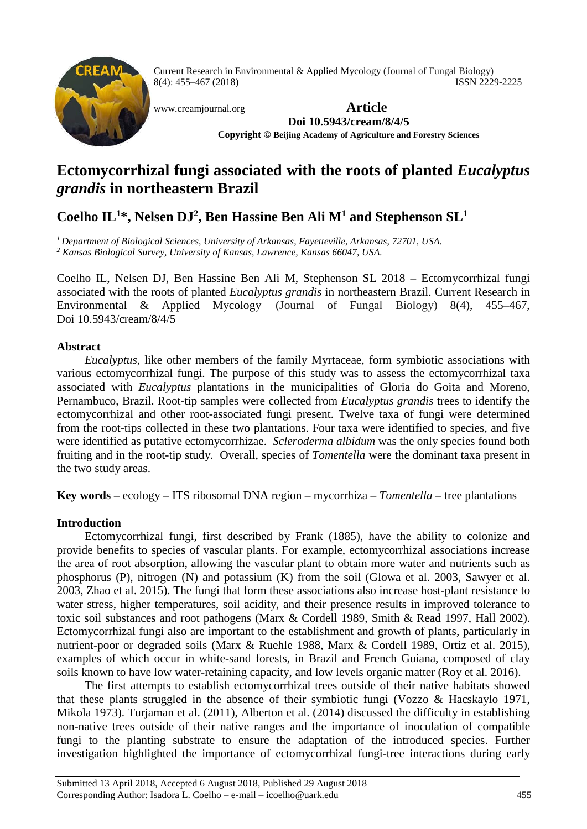

Current Research in Environmental & Applied Mycology (Journal of Fungal Biology) 8(4): 455–467 (2018) ISSN 2229-2225

[www.creamjournal.org](http://www.creamjournal.org/) **Article Doi 10.5943/cream/8/4/5 Copyright © Beijing Academy of Agriculture and Forestry Sciences**

# **Ectomycorrhizal fungi associated with the roots of planted** *Eucalyptus grandis* **in northeastern Brazil**

# **Coelho IL1 \*, Nelsen DJ2 , Ben Hassine Ben Ali M1 and Stephenson SL1**

*1 Department of Biological Sciences, University of Arkansas, Fayetteville, Arkansas, 72701, USA. <sup>2</sup> Kansas Biological Survey, University of Kansas, Lawrence, Kansas 66047, USA.*

Coelho IL, Nelsen DJ, Ben Hassine Ben Ali M, Stephenson SL 2018 – Ectomycorrhizal fungi associated with the roots of planted *Eucalyptus grandis* in northeastern Brazil. Current Research in Environmental & Applied Mycology (Journal of Fungal Biology) 8(4), 455–467, Doi 10.5943/cream/8/4/5

## **Abstract**

*Eucalyptus*, like other members of the family Myrtaceae, form symbiotic associations with various ectomycorrhizal fungi. The purpose of this study was to assess the ectomycorrhizal taxa associated with *Eucalyptus* plantations in the municipalities of Gloria do Goita and Moreno, Pernambuco, Brazil. Root-tip samples were collected from *Eucalyptus grandis* trees to identify the ectomycorrhizal and other root-associated fungi present. Twelve taxa of fungi were determined from the root-tips collected in these two plantations. Four taxa were identified to species, and five were identified as putative ectomycorrhizae. *Scleroderma albidum* was the only species found both fruiting and in the root-tip study. Overall, species of *Tomentella* were the dominant taxa present in the two study areas.

**Key words** – ecology – ITS ribosomal DNA region – mycorrhiza – *Tomentella* – tree plantations

# **Introduction**

Ectomycorrhizal fungi, first described by Frank (1885), have the ability to colonize and provide benefits to species of vascular plants. For example, ectomycorrhizal associations increase the area of root absorption, allowing the vascular plant to obtain more water and nutrients such as phosphorus (P), nitrogen (N) and potassium (K) from the soil (Glowa et al. 2003, Sawyer et al. 2003, Zhao et al. 2015). The fungi that form these associations also increase host-plant resistance to water stress, higher temperatures, soil acidity, and their presence results in improved tolerance to toxic soil substances and root pathogens (Marx & Cordell 1989, Smith & Read 1997, Hall 2002). Ectomycorrhizal fungi also are important to the establishment and growth of plants, particularly in nutrient-poor or degraded soils (Marx & Ruehle 1988, Marx & Cordell 1989, Ortiz et al. 2015), examples of which occur in white-sand forests, in Brazil and French Guiana, composed of clay soils known to have low water-retaining capacity, and low levels organic matter (Roy et al. 2016).

The first attempts to establish ectomycorrhizal trees outside of their native habitats showed that these plants struggled in the absence of their symbiotic fungi (Vozzo & Hacskaylo 1971, Mikola 1973). Turjaman et al. (2011), Alberton et al. (2014) discussed the difficulty in establishing non-native trees outside of their native ranges and the importance of inoculation of compatible fungi to the planting substrate to ensure the adaptation of the introduced species. Further investigation highlighted the importance of ectomycorrhizal fungi-tree interactions during early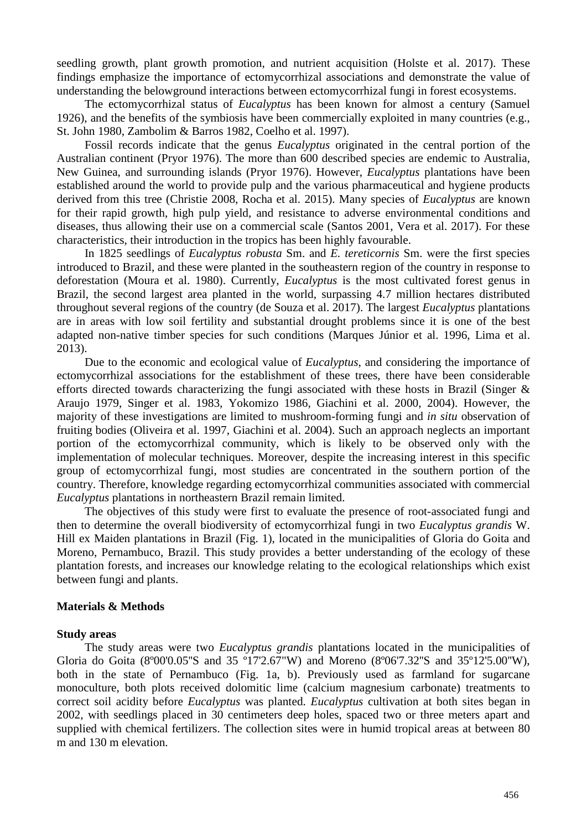seedling growth, plant growth promotion, and nutrient acquisition (Holste et al. 2017). These findings emphasize the importance of ectomycorrhizal associations and demonstrate the value of understanding the belowground interactions between ectomycorrhizal fungi in forest ecosystems.

The ectomycorrhizal status of *Eucalyptus* has been known for almost a century (Samuel 1926), and the benefits of the symbiosis have been commercially exploited in many countries (e.g., St. John 1980, Zambolim & Barros 1982, Coelho et al. 1997).

Fossil records indicate that the genus *Eucalyptus* originated in the central portion of the Australian continent (Pryor 1976). The more than 600 described species are endemic to Australia, New Guinea, and surrounding islands (Pryor 1976). However, *Eucalyptus* plantations have been established around the world to provide pulp and the various pharmaceutical and hygiene products derived from this tree (Christie 2008, Rocha et al. 2015). Many species of *Eucalyptus* are known for their rapid growth, high pulp yield, and resistance to adverse environmental conditions and diseases, thus allowing their use on a commercial scale (Santos 2001, Vera et al. 2017). For these characteristics, their introduction in the tropics has been highly favourable.

In 1825 seedlings of *Eucalyptus robusta* Sm. and *E. tereticornis* Sm. were the first species introduced to Brazil, and these were planted in the southeastern region of the country in response to deforestation (Moura et al. 1980). Currently, *Eucalyptus* is the most cultivated forest genus in Brazil, the second largest area planted in the world, surpassing 4.7 million hectares distributed throughout several regions of the country (de Souza et al. 2017). The largest *Eucalyptus* plantations are in areas with low soil fertility and substantial drought problems since it is one of the best adapted non-native timber species for such conditions (Marques Júnior et al. 1996, Lima et al. 2013).

Due to the economic and ecological value of *Eucalyptus*, and considering the importance of ectomycorrhizal associations for the establishment of these trees, there have been considerable efforts directed towards characterizing the fungi associated with these hosts in Brazil (Singer & Araujo 1979, Singer et al. 1983, Yokomizo 1986, Giachini et al. 2000, 2004). However, the majority of these investigations are limited to mushroom-forming fungi and *in situ* observation of fruiting bodies (Oliveira et al. 1997, Giachini et al. 2004). Such an approach neglects an important portion of the ectomycorrhizal community, which is likely to be observed only with the implementation of molecular techniques. Moreover, despite the increasing interest in this specific group of ectomycorrhizal fungi, most studies are concentrated in the southern portion of the country. Therefore, knowledge regarding ectomycorrhizal communities associated with commercial *Eucalyptus* plantations in northeastern Brazil remain limited.

The objectives of this study were first to evaluate the presence of root-associated fungi and then to determine the overall biodiversity of ectomycorrhizal fungi in two *Eucalyptus grandis* W. Hill ex Maiden plantations in Brazil (Fig. 1), located in the municipalities of Gloria do Goita and Moreno, Pernambuco, Brazil. This study provides a better understanding of the ecology of these plantation forests, and increases our knowledge relating to the ecological relationships which exist between fungi and plants.

#### **Materials & Methods**

#### **Study areas**

The study areas were two *Eucalyptus grandis* plantations located in the municipalities of Gloria do Goita (8°00'0.05"S and 35 °17'2.67"W) and Moreno (8°06'7.32"S and 35°12'5.00"W), both in the state of Pernambuco (Fig. 1a, b). Previously used as farmland for sugarcane monoculture, both plots received dolomitic lime (calcium magnesium carbonate) treatments to correct soil acidity before *Eucalyptus* was planted. *Eucalyptus* cultivation at both sites began in 2002, with seedlings placed in 30 centimeters deep holes, spaced two or three meters apart and supplied with chemical fertilizers. The collection sites were in humid tropical areas at between 80 m and 130 m elevation.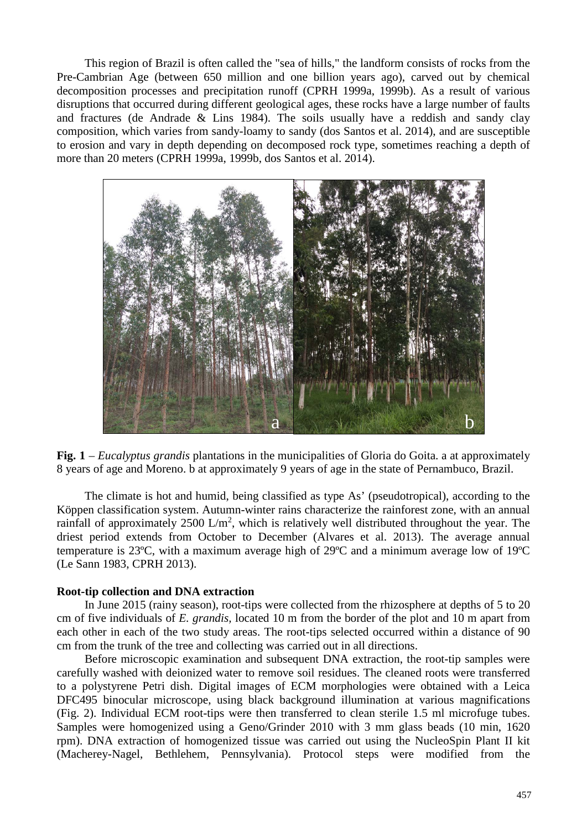This region of Brazil is often called the "sea of hills," the landform consists of rocks from the Pre-Cambrian Age (between 650 million and one billion years ago), carved out by chemical decomposition processes and precipitation runoff (CPRH 1999a, 1999b). As a result of various disruptions that occurred during different geological ages, these rocks have a large number of faults and fractures (de Andrade & Lins 1984). The soils usually have a reddish and sandy clay composition, which varies from sandy-loamy to sandy (dos Santos et al. 2014), and are susceptible to erosion and vary in depth depending on decomposed rock type, sometimes reaching a depth of more than 20 meters (CPRH 1999a, 1999b, dos Santos et al. 2014).



**Fig. 1** – *Eucalyptus grandis* plantations in the municipalities of Gloria do Goita. a at approximately 8 years of age and Moreno. b at approximately 9 years of age in the state of Pernambuco, Brazil.

The climate is hot and humid, being classified as type As' (pseudotropical), according to the Köppen classification system. Autumn-winter rains characterize the rainforest zone, with an annual rainfall of approximately  $2500 \text{ L/m}^2$ , which is relatively well distributed throughout the year. The driest period extends from October to December (Alvares et al. 2013). The average annual temperature is 23ºC, with a maximum average high of 29ºC and a minimum average low of 19ºC (Le Sann 1983, CPRH 2013).

#### **Root-tip collection and DNA extraction**

In June 2015 (rainy season), root-tips were collected from the rhizosphere at depths of 5 to 20 cm of five individuals of *E. grandis,* located 10 m from the border of the plot and 10 m apart from each other in each of the two study areas. The root-tips selected occurred within a distance of 90 cm from the trunk of the tree and collecting was carried out in all directions.

Before microscopic examination and subsequent DNA extraction, the root-tip samples were carefully washed with deionized water to remove soil residues. The cleaned roots were transferred to a polystyrene Petri dish. Digital images of ECM morphologies were obtained with a Leica DFC495 binocular microscope, using black background illumination at various magnifications (Fig. 2). Individual ECM root-tips were then transferred to clean sterile 1.5 ml microfuge tubes. Samples were homogenized using a Geno/Grinder 2010 with 3 mm glass beads (10 min, 1620 rpm). DNA extraction of homogenized tissue was carried out using the NucleoSpin Plant II kit (Macherey-Nagel, Bethlehem, Pennsylvania). Protocol steps were modified from the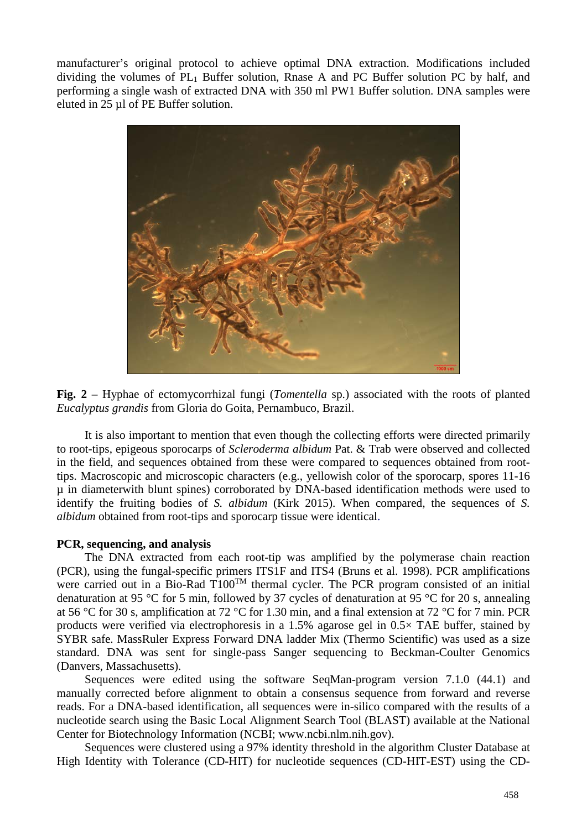manufacturer's original protocol to achieve optimal DNA extraction. Modifications included dividing the volumes of PL1 Buffer solution, Rnase A and PC Buffer solution PC by half, and performing a single wash of extracted DNA with 350 ml PW1 Buffer solution. DNA samples were eluted in 25 µl of PE Buffer solution.



**Fig. 2** – Hyphae of ectomycorrhizal fungi (*Tomentella* sp.) associated with the roots of planted *Eucalyptus grandis* from Gloria do Goita, Pernambuco, Brazil.

It is also important to mention that even though the collecting efforts were directed primarily to root-tips, epigeous sporocarps of *Scleroderma albidum* Pat. & Trab were observed and collected in the field, and sequences obtained from these were compared to sequences obtained from roottips. Macroscopic and microscopic characters (e.g., yellowish color of the sporocarp, spores 11-16 µ in diameterwith blunt spines) corroborated by DNA-based identification methods were used to identify the fruiting bodies of *S. albidum* (Kirk 2015). When compared, the sequences of *S. albidum* obtained from root-tips and sporocarp tissue were identical.

#### **PCR, sequencing, and analysis**

The DNA extracted from each root-tip was amplified by the polymerase chain reaction (PCR), using the fungal-specific primers ITS1F and ITS4 [\(Bruns et al. 1998\)](#page-9-0). PCR amplifications were carried out in a Bio-Rad  $T100^{TM}$  thermal cycler. The PCR program consisted of an initial denaturation at 95 °C for 5 min, followed by 37 cycles of denaturation at 95 °C for 20 s, annealing at 56 °C for 30 s, amplification at 72 °C for 1.30 min, and a final extension at 72 °C for 7 min. PCR products were verified via electrophoresis in a 1.5% agarose gel in 0.5× TAE buffer, stained by SYBR safe. MassRuler Express Forward DNA ladder Mix (Thermo Scientific) was used as a size standard. DNA was sent for single-pass Sanger sequencing to Beckman-Coulter Genomics (Danvers, Massachusetts).

Sequences were edited using the software SeqMan-program version 7.1.0 (44.1) and manually corrected before alignment to obtain a consensus sequence from forward and reverse reads. For a DNA-based identification, all sequences were in-silico compared with the results of a nucleotide search using the Basic Local Alignment Search Tool (BLAST) available at the National Center for Biotechnology Information (NCBI; [www.ncbi.nlm.nih.gov\)](http://www.ncbi.nlm.nih.gov/).

Sequences were clustered using a 97% identity threshold in the algorithm Cluster Database at High Identity with Tolerance (CD-HIT) for nucleotide sequences (CD-HIT-EST) using the CD-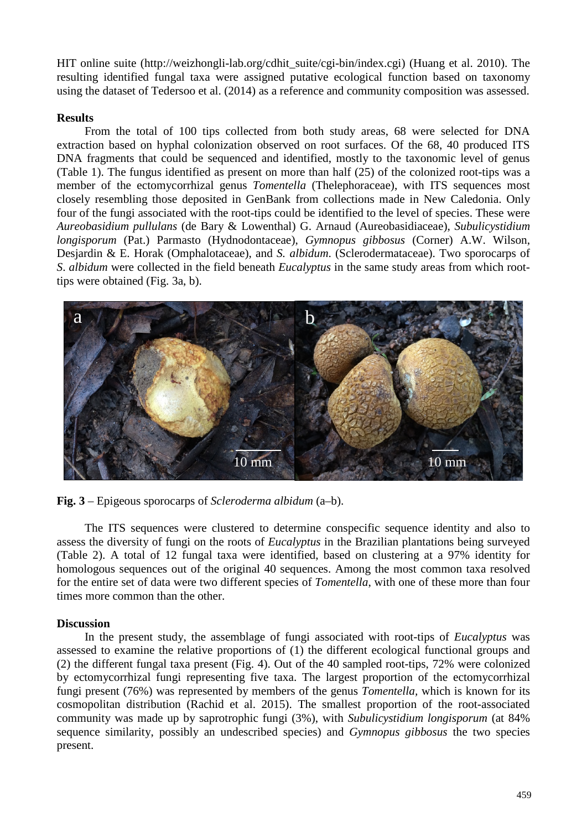HIT online suite (http://weizhongli-lab.org/cdhit\_suite/cgi-bin/index.cgi) (Huang et al. 2010). The resulting identified fungal taxa were assigned putative ecological function based on taxonomy using the dataset of Tedersoo et al. (2014) as a reference and community composition was assessed.

## **Results**

From the total of 100 tips collected from both study areas, 68 were selected for DNA extraction based on hyphal colonization observed on root surfaces. Of the 68, 40 produced ITS DNA fragments that could be sequenced and identified, mostly to the taxonomic level of genus (Table 1). The fungus identified as present on more than half (25) of the colonized root-tips was a member of the ectomycorrhizal genus *Tomentella* (Thelephoraceae), with ITS sequences most closely resembling those deposited in GenBank from collections made in New Caledonia. Only four of the fungi associated with the root-tips could be identified to the level of species. These were *Aureobasidium pullulans* (de Bary & Lowenthal) G. Arnaud (Aureobasidiaceae), *Subulicystidium longisporum* (Pat.) Parmasto (Hydnodontaceae), *Gymnopus gibbosus* (Corner) A.W. Wilson, Desjardin & E. Horak (Omphalotaceae), and *S. albidum*. (Sclerodermataceae). Two sporocarps of *S*. *albidum* were collected in the field beneath *Eucalyptus* in the same study areas from which roottips were obtained (Fig. 3a, b).



**Fig. 3** – Epigeous sporocarps of *Scleroderma albidum* (a–b).

The ITS sequences were clustered to determine conspecific sequence identity and also to assess the diversity of fungi on the roots of *Eucalyptus* in the Brazilian plantations being surveyed (Table 2). A total of 12 fungal taxa were identified, based on clustering at a 97% identity for homologous sequences out of the original 40 sequences. Among the most common taxa resolved for the entire set of data were two different species of *Tomentella*, with one of these more than four times more common than the other.

# **Discussion**

In the present study, the assemblage of fungi associated with root-tips of *Eucalyptus* was assessed to examine the relative proportions of (1) the different ecological functional groups and (2) the different fungal taxa present (Fig. 4). Out of the 40 sampled root-tips, 72% were colonized by ectomycorrhizal fungi representing five taxa. The largest proportion of the ectomycorrhizal fungi present (76%) was represented by members of the genus *Tomentella,* which is known for its cosmopolitan distribution (Rachid et al. 2015). The smallest proportion of the root-associated community was made up by saprotrophic fungi (3%), with *Subulicystidium longisporum* (at 84% sequence similarity, possibly an undescribed species) and *Gymnopus gibbosus* the two species present.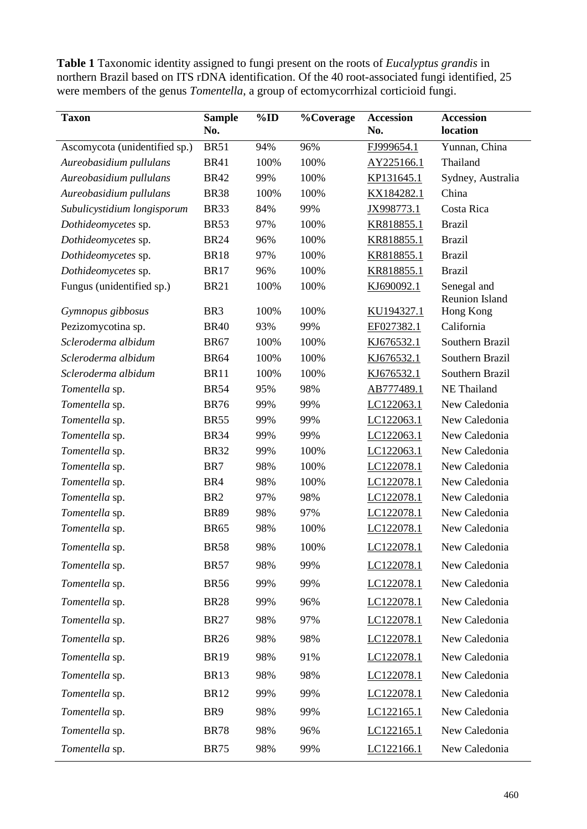**Table 1** Taxonomic identity assigned to fungi present on the roots of *Eucalyptus grandis* in northern Brazil based on ITS rDNA identification. Of the 40 root-associated fungi identified, 25 were members of the genus *Tomentella*, a group of ectomycorrhizal corticioid fungi.

| <b>Taxon</b>                  | <b>Sample</b>   | $\%$ ID | <b>%Coverage</b> | <b>Accession</b> | <b>Accession</b>                     |
|-------------------------------|-----------------|---------|------------------|------------------|--------------------------------------|
|                               | No.             |         |                  | No.              | location                             |
| Ascomycota (unidentified sp.) | <b>BR51</b>     | 94%     | 96%              | FJ999654.1       | Yunnan, China                        |
| Aureobasidium pullulans       | <b>BR41</b>     | 100%    | 100%             | AY225166.1       | Thailand                             |
| Aureobasidium pullulans       | <b>BR42</b>     | 99%     | 100%             | KP131645.1       | Sydney, Australia                    |
| Aureobasidium pullulans       | <b>BR38</b>     | 100%    | 100%             | KX184282.1       | China                                |
| Subulicystidium longisporum   | <b>BR33</b>     | 84%     | 99%              | JX998773.1       | Costa Rica                           |
| Dothideomycetes sp.           | <b>BR53</b>     | 97%     | 100%             | KR818855.1       | <b>Brazil</b>                        |
| Dothideomycetes sp.           | <b>BR24</b>     | 96%     | 100%             | KR818855.1       | <b>Brazil</b>                        |
| Dothideomycetes sp.           | <b>BR18</b>     | 97%     | 100%             | KR818855.1       | <b>Brazil</b>                        |
| Dothideomycetes sp.           | <b>BR17</b>     | 96%     | 100%             | KR818855.1       | <b>Brazil</b>                        |
| Fungus (unidentified sp.)     | <b>BR21</b>     | 100%    | 100%             | KJ690092.1       | Senegal and<br><b>Reunion Island</b> |
| Gymnopus gibbosus             | BR <sub>3</sub> | 100%    | 100%             | KU194327.1       | Hong Kong                            |
| Pezizomycotina sp.            | <b>BR40</b>     | 93%     | 99%              | EF027382.1       | California                           |
| Scleroderma albidum           | <b>BR67</b>     | 100%    | 100%             | KJ676532.1       | Southern Brazil                      |
| Scleroderma albidum           | <b>BR64</b>     | 100%    | 100%             | KJ676532.1       | Southern Brazil                      |
| Scleroderma albidum           | <b>BR11</b>     | 100%    | 100%             | KJ676532.1       | Southern Brazil                      |
| Tomentella sp.                | <b>BR54</b>     | 95%     | 98%              | AB777489.1       | NE Thailand                          |
| Tomentella sp.                | <b>BR76</b>     | 99%     | 99%              | LC122063.1       | New Caledonia                        |
| Tomentella sp.                | <b>BR55</b>     | 99%     | 99%              | LC122063.1       | New Caledonia                        |
| Tomentella sp.                | <b>BR34</b>     | 99%     | 99%              | LC122063.1       | New Caledonia                        |
| Tomentella sp.                | <b>BR32</b>     | 99%     | 100%             | LC122063.1       | New Caledonia                        |
| Tomentella sp.                | BR7             | 98%     | 100%             | LC122078.1       | New Caledonia                        |
| Tomentella sp.                | BR4             | 98%     | 100%             | LC122078.1       | New Caledonia                        |
| Tomentella sp.                | BR <sub>2</sub> | 97%     | 98%              | LC122078.1       | New Caledonia                        |
| Tomentella sp.                | <b>BR89</b>     | 98%     | 97%              | LC122078.1       | New Caledonia                        |
| Tomentella sp.                | <b>BR65</b>     | 98%     | 100%             | LC122078.1       | New Caledonia                        |
| Tomentella sp.                | <b>BR58</b>     | 98%     | 100%             | LC122078.1       | New Caledonia                        |
| Tomentella sp.                | <b>BR57</b>     | 98%     | 99%              | LC122078.1       | New Caledonia                        |
| Tomentella sp.                | <b>BR56</b>     | 99%     | 99%              | LC122078.1       | New Caledonia                        |
| Tomentella sp.                | <b>BR28</b>     | 99%     | 96%              | LC122078.1       | New Caledonia                        |
| Tomentella sp.                | <b>BR27</b>     | 98%     | 97%              | LC122078.1       | New Caledonia                        |
| Tomentella sp.                | <b>BR26</b>     | 98%     | 98%              | LC122078.1       | New Caledonia                        |
| Tomentella sp.                | <b>BR19</b>     | 98%     | 91%              | LC122078.1       | New Caledonia                        |
| Tomentella sp.                | <b>BR13</b>     | 98%     | 98%              | LC122078.1       | New Caledonia                        |
| Tomentella sp.                | <b>BR12</b>     | 99%     | 99%              | LC122078.1       | New Caledonia                        |
| Tomentella sp.                | BR <sub>9</sub> | 98%     | 99%              | LC122165.1       | New Caledonia                        |
| Tomentella sp.                | <b>BR78</b>     | 98%     | 96%              | LC122165.1       | New Caledonia                        |
| Tomentella sp.                | <b>BR75</b>     | 98%     | 99%              | LC122166.1       | New Caledonia                        |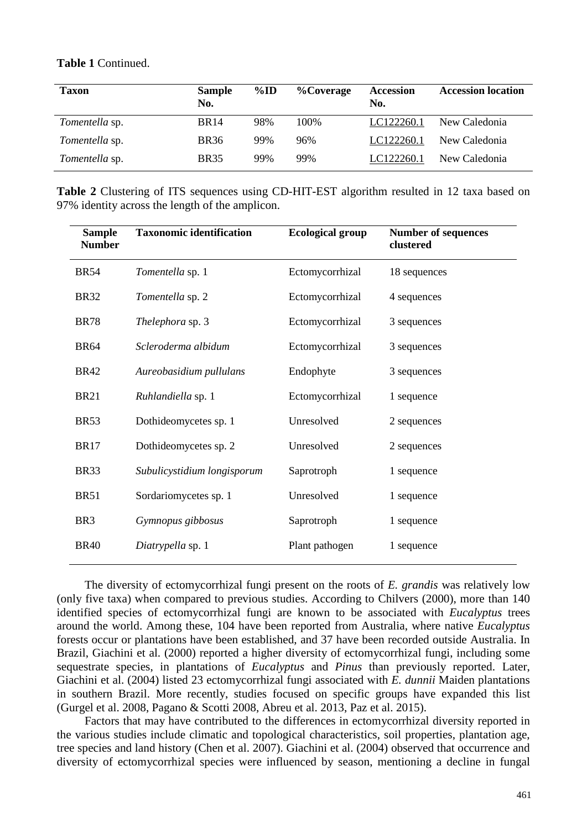**Table 1** Continued.

| <b>Taxon</b>   | <b>Sample</b><br>No. | $\%$ ID | <b>%Coverage</b> | <b>Accession</b><br>No. | <b>Accession location</b> |
|----------------|----------------------|---------|------------------|-------------------------|---------------------------|
| Tomentella sp. | <b>BR14</b>          | 98%     | 100\%            | LC122260.1              | New Caledonia             |
| Tomentella sp. | <b>BR36</b>          | 99%     | 96%              | LC122260.1              | New Caledonia             |
| Tomentella sp. | <b>BR35</b>          | 99%     | 99%              | LC122260.1              | New Caledonia             |

**Table 2** Clustering of ITS sequences using CD-HIT-EST algorithm resulted in 12 taxa based on 97% identity across the length of the amplicon.

| <b>Sample</b><br><b>Number</b> | <b>Taxonomic identification</b> | <b>Ecological group</b> | <b>Number of sequences</b><br>clustered |
|--------------------------------|---------------------------------|-------------------------|-----------------------------------------|
| <b>BR54</b>                    | Tomentella sp. 1                | Ectomycorrhizal         | 18 sequences                            |
| <b>BR32</b>                    | Tomentella sp. 2                | Ectomycorrhizal         | 4 sequences                             |
| <b>BR78</b>                    | Thelephora sp. 3                | Ectomycorrhizal         | 3 sequences                             |
| <b>BR64</b>                    | Scleroderma albidum             | Ectomycorrhizal         | 3 sequences                             |
| <b>BR42</b>                    | Aureobasidium pullulans         | Endophyte               | 3 sequences                             |
| <b>BR21</b>                    | Ruhlandiella sp. 1              | Ectomycorrhizal         | 1 sequence                              |
| <b>BR53</b>                    | Dothideomycetes sp. 1           | Unresolved              | 2 sequences                             |
| <b>BR17</b>                    | Dothideomycetes sp. 2           | Unresolved              | 2 sequences                             |
| BR33                           | Subulicystidium longisporum     | Saprotroph              | 1 sequence                              |
| <b>BR51</b>                    | Sordariomycetes sp. 1           | Unresolved              | 1 sequence                              |
| BR <sub>3</sub>                | Gymnopus gibbosus               | Saprotroph              | 1 sequence                              |
| <b>BR40</b>                    | Diatrypella sp. 1               | Plant pathogen          | 1 sequence                              |

The diversity of ectomycorrhizal fungi present on the roots of *E. grandis* was relatively low (only five taxa) when compared to previous studies. According to Chilvers (2000), more than 140 identified species of ectomycorrhizal fungi are known to be associated with *Eucalyptus* trees around the world. Among these, 104 have been reported from Australia, where native *Eucalyptus* forests occur or plantations have been established, and 37 have been recorded outside Australia. In Brazil, Giachini et al. (2000) reported a higher diversity of ectomycorrhizal fungi, including some sequestrate species, in plantations of *Eucalyptus* and *Pinus* than previously reported. Later, Giachini et al. (2004) listed 23 ectomycorrhizal fungi associated with *E. dunnii* Maiden plantations in southern Brazil. More recently, studies focused on specific groups have expanded this list (Gurgel et al. 2008, Pagano & Scotti 2008, Abreu et al. 2013, Paz et al. 2015).

Factors that may have contributed to the differences in ectomycorrhizal diversity reported in the various studies include climatic and topological characteristics, soil properties, plantation age, tree species and land history (Chen et al. 2007). Giachini et al. (2004) observed that occurrence and diversity of ectomycorrhizal species were influenced by season, mentioning a decline in fungal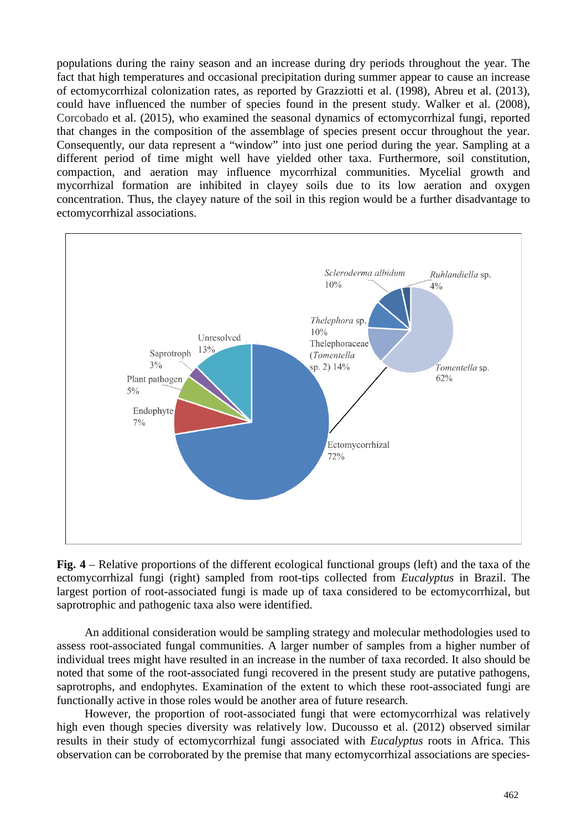populations during the rainy season and an increase during dry periods throughout the year. The fact that high temperatures and occasional precipitation during summer appear to cause an increase of ectomycorrhizal colonization rates, as reported by Grazziotti et al. (1998), Abreu et al. (2013), could have influenced the number of species found in the present study. Walker et al. (2008), Corcobado et al. (2015), who examined the seasonal dynamics of ectomycorrhizal fungi, reported that changes in the composition of the assemblage of species present occur throughout the year. Consequently, our data represent a "window" into just one period during the year. Sampling at a different period of time might well have yielded other taxa. Furthermore, soil constitution, compaction, and aeration may influence mycorrhizal communities. Mycelial growth and mycorrhizal formation are inhibited in clayey soils due to its low aeration and oxygen concentration. Thus, the clayey nature of the soil in this region would be a further disadvantage to ectomycorrhizal associations.



**Fig. 4** – Relative proportions of the different ecological functional groups (left) and the taxa of the ectomycorrhizal fungi (right) sampled from root-tips collected from *Eucalyptus* in Brazil. The largest portion of root-associated fungi is made up of taxa considered to be ectomycorrhizal, but saprotrophic and pathogenic taxa also were identified.

An additional consideration would be sampling strategy and molecular methodologies used to assess root-associated fungal communities. A larger number of samples from a higher number of individual trees might have resulted in an increase in the number of taxa recorded. It also should be noted that some of the root-associated fungi recovered in the present study are putative pathogens, saprotrophs, and endophytes. Examination of the extent to which these root-associated fungi are functionally active in those roles would be another area of future research.

However, the proportion of root-associated fungi that were ectomycorrhizal was relatively high even though species diversity was relatively low. Ducousso et al. (2012) observed similar results in their study of ectomycorrhizal fungi associated with *Eucalyptus* roots in Africa. This observation can be corroborated by the premise that many ectomycorrhizal associations are species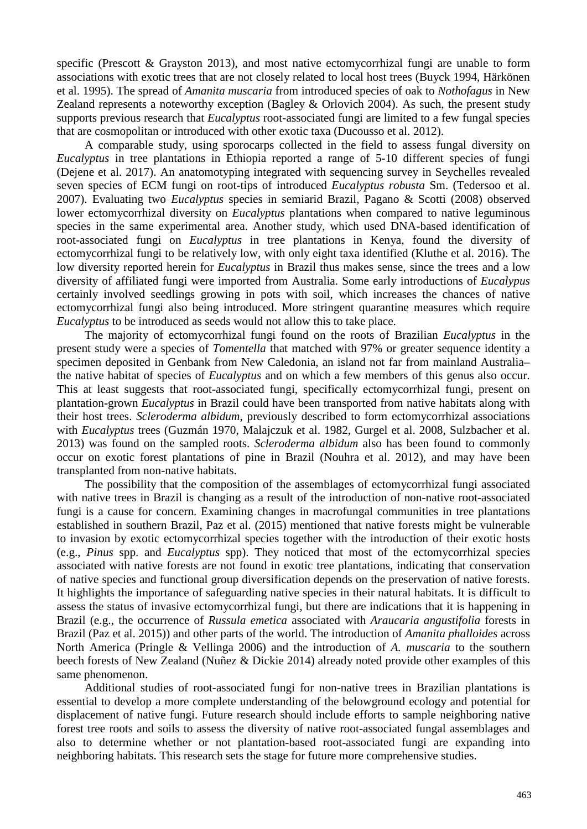specific (Prescott  $\&$  Grayston 2013), and most native ectomycorrhizal fungi are unable to form associations with exotic trees that are not closely related to local host trees (Buyck 1994, Härkönen et al. 1995). The spread of *Amanita muscaria* from introduced species of oak to *Nothofagus* in New Zealand represents a noteworthy exception (Bagley & Orlovich 2004). As such, the present study supports previous research that *Eucalyptus* root-associated fungi are limited to a few fungal species that are cosmopolitan or introduced with other exotic taxa (Ducousso et al. 2012).

A comparable study, using sporocarps collected in the field to assess fungal diversity on *Eucalyptus* in tree plantations in Ethiopia reported a range of 5-10 different species of fungi (Dejene et al. 2017). An anatomotyping integrated with sequencing survey in Seychelles revealed seven species of ECM fungi on root-tips of introduced *Eucalyptus robusta* Sm. (Tedersoo et al. 2007). Evaluating two *Eucalyptus* species in semiarid Brazil, Pagano & Scotti (2008) observed lower ectomycorrhizal diversity on *Eucalyptus* plantations when compared to native leguminous species in the same experimental area. Another study, which used DNA-based identification of root-associated fungi on *Eucalyptus* in tree plantations in Kenya, found the diversity of ectomycorrhizal fungi to be relatively low, with only eight taxa identified (Kluthe et al. 2016). The low diversity reported herein for *Eucalyptus* in Brazil thus makes sense, since the trees and a low diversity of affiliated fungi were imported from Australia. Some early introductions of *Eucalypus* certainly involved seedlings growing in pots with soil, which increases the chances of native ectomycorrhizal fungi also being introduced. More stringent quarantine measures which require *Eucalyptus* to be introduced as seeds would not allow this to take place.

The majority of ectomycorrhizal fungi found on the roots of Brazilian *Eucalyptus* in the present study were a species of *Tomentella* that matched with 97% or greater sequence identity a specimen deposited in Genbank from New Caledonia, an island not far from mainland Australia– the native habitat of species of *Eucalyptus* and on which a few members of this genus also occur. This at least suggests that root-associated fungi, specifically ectomycorrhizal fungi, present on plantation-grown *Eucalyptus* in Brazil could have been transported from native habitats along with their host trees. *Scleroderma albidum*, previously described to form ectomycorrhizal associations with *Eucalyptus* trees (Guzmán 1970, Malajczuk et al. 1982, Gurgel et al. 2008, Sulzbacher et al. 2013) was found on the sampled roots. *Scleroderma albidum* also has been found to commonly occur on exotic forest plantations of pine in Brazil (Nouhra et al. 2012), and may have been transplanted from non-native habitats.

The possibility that the composition of the assemblages of ectomycorrhizal fungi associated with native trees in Brazil is changing as a result of the introduction of non-native root-associated fungi is a cause for concern. Examining changes in macrofungal communities in tree plantations established in southern Brazil, Paz et al. (2015) mentioned that native forests might be vulnerable to invasion by exotic ectomycorrhizal species together with the introduction of their exotic hosts (e.g., *Pinus* spp. and *Eucalyptus* spp). They noticed that most of the ectomycorrhizal species associated with native forests are not found in exotic tree plantations, indicating that conservation of native species and functional group diversification depends on the preservation of native forests. It highlights the importance of safeguarding native species in their natural habitats. It is difficult to assess the status of invasive ectomycorrhizal fungi, but there are indications that it is happening in Brazil (e.g., the occurrence of *Russula emetica* associated with *Araucaria angustifolia* forests in Brazil (Paz et al. 2015)) and other parts of the world. The introduction of *Amanita phalloides* across North America (Pringle & Vellinga 2006) and the introduction of *A. muscaria* to the southern beech forests of New Zealand (Nuñez & Dickie 2014) already noted provide other examples of this same phenomenon.

Additional studies of root-associated fungi for non-native trees in Brazilian plantations is essential to develop a more complete understanding of the belowground ecology and potential for displacement of native fungi. Future research should include efforts to sample neighboring native forest tree roots and soils to assess the diversity of native root-associated fungal assemblages and also to determine whether or not plantation-based root-associated fungi are expanding into neighboring habitats. This research sets the stage for future more comprehensive studies.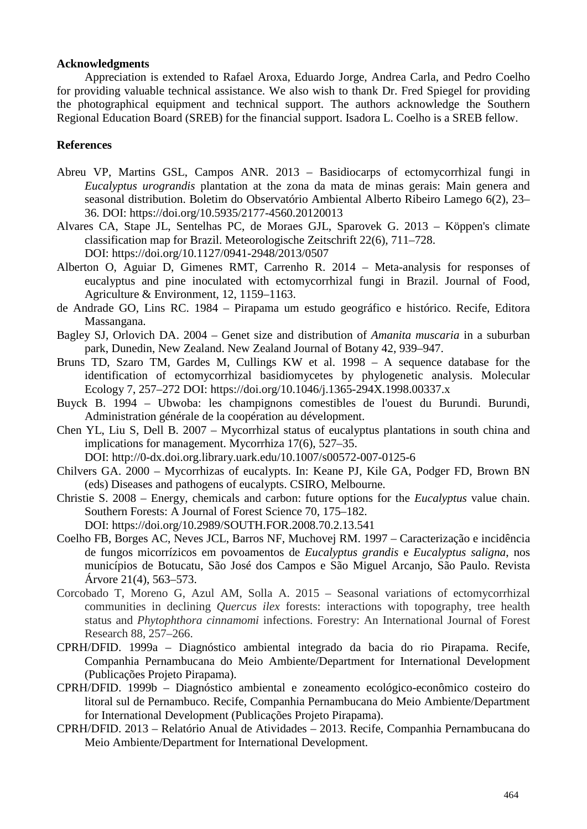### **Acknowledgments**

Appreciation is extended to Rafael Aroxa, Eduardo Jorge, Andrea Carla, and Pedro Coelho for providing valuable technical assistance. We also wish to thank Dr. Fred Spiegel for providing the photographical equipment and technical support. The authors acknowledge the Southern Regional Education Board (SREB) for the financial support. Isadora L. Coelho is a SREB fellow.

## **References**

- Abreu VP, Martins GSL, Campos ANR. 2013 Basidiocarps of ectomycorrhizal fungi in *Eucalyptus urograndis* plantation at the zona da mata de minas gerais: Main genera and seasonal distribution. Boletim do Observatório Ambiental Alberto Ribeiro Lamego 6(2), 23– 36. DOI: https://doi.org/10.5935/2177-4560.20120013
- Alvares CA, Stape JL, Sentelhas PC, de Moraes GJL, Sparovek G. 2013 Köppen's climate classification map for Brazil. Meteorologische Zeitschrift 22(6), 711–728. DOI: https://doi.org/10.1127/0941-2948/2013/0507
- Alberton O, Aguiar D, Gimenes RMT, Carrenho R. 2014 Meta-analysis for responses of eucalyptus and pine inoculated with ectomycorrhizal fungi in Brazil. Journal of Food, Agriculture & Environment, 12, 1159–1163.
- de Andrade GO, Lins RC. 1984 Pirapama um estudo geográfico e histórico. Recife, Editora Massangana.
- Bagley SJ, Orlovich DA. 2004 Genet size and distribution of *Amanita muscaria* in a suburban park, Dunedin, New Zealand. New Zealand Journal of Botany 42, 939–947.
- <span id="page-9-0"></span>Bruns TD, Szaro TM, Gardes M, Cullings KW et al. 1998 – A sequence database for the identification of ectomycorrhizal basidiomycetes by phylogenetic analysis. Molecular Ecology 7, 257–272 DOI: https://doi.org/10.1046/j.1365-294X.1998.00337.x
- Buyck B. 1994 Ubwoba: les champignons comestibles de l'ouest du Burundi. Burundi, Administration générale de la coopération au dévelopment.
- Chen YL, Liu S, Dell B. 2007 Mycorrhizal status of eucalyptus plantations in south china and implications for management. Mycorrhiza 17(6), 527–35.

DOI: http://0-dx.doi.org.library.uark.edu/10.1007/s00572-007-0125-6

- Chilvers GA. 2000 Mycorrhizas of eucalypts. In: Keane PJ, Kile GA, Podger FD, Brown BN (eds) Diseases and pathogens of eucalypts. CSIRO, Melbourne.
- Christie S. 2008 Energy, chemicals and carbon: future options for the *Eucalyptus* value chain. Southern Forests: A Journal of Forest Science 70, 175–182. DOI: https://doi.org/10.2989/SOUTH.FOR.2008.70.2.13.541
- Coelho FB, Borges AC, Neves JCL, Barros NF, Muchovej RM. 1997 Caracterização e incidência de fungos micorrízicos em povoamentos de *Eucalyptus grandis* e *Eucalyptus saligna*, nos municípios de Botucatu, São José dos Campos e São Miguel Arcanjo, São Paulo. Revista Árvore 21(4), 563–573.
- Corcobado T, Moreno G, Azul AM, Solla A. 2015 Seasonal variations of ectomycorrhizal communities in declining *Quercus ilex* forests: interactions with topography, tree health status and *Phytophthora cinnamomi* infections. Forestry: An International Journal of Forest Research 88, 257–266.
- CPRH/DFID. 1999a Diagnóstico ambiental integrado da bacia do rio Pirapama. Recife, Companhia Pernambucana do Meio Ambiente/Department for International Development (Publicações Projeto Pirapama).
- CPRH/DFID. 1999b Diagnóstico ambiental e zoneamento ecológico-econômico costeiro do litoral sul de Pernambuco. Recife, Companhia Pernambucana do Meio Ambiente/Department for International Development (Publicações Projeto Pirapama).
- CPRH/DFID. 2013 Relatório Anual de Atividades 2013. Recife, Companhia Pernambucana do Meio Ambiente/Department for International Development.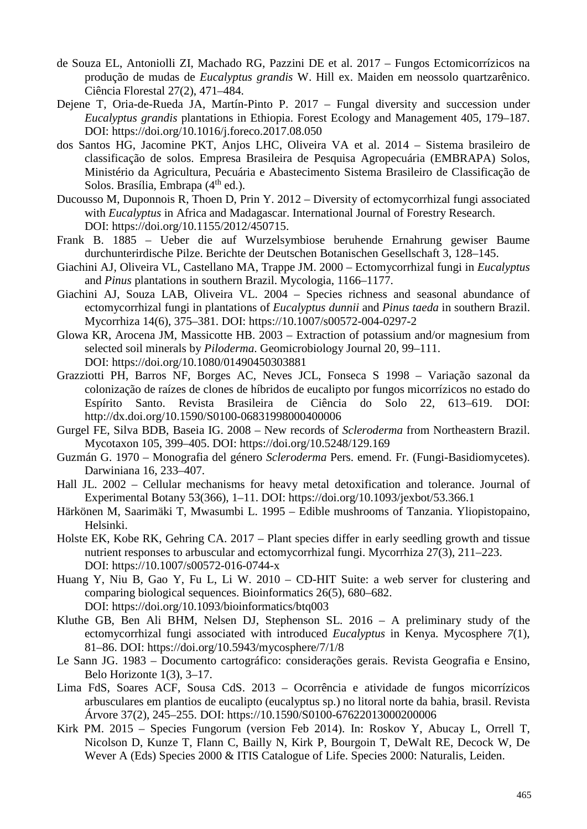- de Souza EL, Antoniolli ZI, Machado RG, Pazzini DE et al. 2017 Fungos Ectomicorrízicos na produção de mudas de *Eucalyptus grandis* W. Hill ex. Maiden em neossolo quartzarênico. Ciência Florestal 27(2), 471–484.
- Dejene T, Oria-de-Rueda JA, Martín-Pinto P. 2017 Fungal diversity and succession under *Eucalyptus grandis* plantations in Ethiopia. Forest Ecology and Management 405, 179–187. DOI:<https://doi.org/10.1016/j.foreco.2017.08.050>
- dos Santos HG, Jacomine PKT, Anjos LHC, Oliveira VA et al. 2014 Sistema brasileiro de classificação de solos. Empresa Brasileira de Pesquisa Agropecuária (EMBRAPA) Solos, Ministério da Agricultura, Pecuária e Abastecimento Sistema Brasileiro de Classificação de Solos. Brasília, Embrapa  $(4<sup>th</sup>$  ed.).
- Ducousso M, Duponnois R, Thoen D, Prin Y. 2012 Diversity of ectomycorrhizal fungi associated with *Eucalyptus* in Africa and Madagascar. International Journal of Forestry Research. DOI: https://doi.org/10.1155/2012/450715.
- Frank B. 1885 Ueber die auf Wurzelsymbiose beruhende Ernahrung gewiser Baume durchunterirdische Pilze. Berichte der Deutschen Botanischen Gesellschaft 3, 128–145.
- Giachini AJ, Oliveira VL, Castellano MA, Trappe JM. 2000 Ectomycorrhizal fungi in *Eucalyptus* and *Pinus* plantations in southern Brazil. Mycologia, 1166–1177.
- Giachini AJ, Souza LAB, Oliveira VL. 2004 Species richness and seasonal abundance of ectomycorrhizal fungi in plantations of *Eucalyptus dunnii* and *Pinus taeda* in southern Brazil. Mycorrhiza 14(6), 375–381. DOI: https://10.1007/s00572-004-0297-2
- Glowa KR, Arocena JM, Massicotte HB. 2003 Extraction of potassium and/or magnesium from selected soil minerals by *Piloderma*. Geomicrobiology Journal 20, 99–111. DOI: https://doi.org/10.1080/01490450303881
- Grazziotti PH, Barros NF, Borges AC, Neves JCL, Fonseca S 1998 Variação sazonal da colonização de raízes de clones de híbridos de eucalipto por fungos micorrízicos no estado do Espírito Santo. Revista Brasileira de Ciência do Solo 22, 613–619. DOI: http://dx.doi.org/10.1590/S0100-06831998000400006
- Gurgel FE, Silva BDB, Baseia IG. 2008 New records of *Scleroderma* from Northeastern Brazil. Mycotaxon 105, 399–405. DOI: https://doi.org/10.5248/129.169
- Guzmán G. 1970 Monografia del género *Scleroderma* Pers. emend. Fr. (Fungi-Basidiomycetes). Darwiniana 16, 233–407.
- Hall JL. 2002 Cellular mechanisms for heavy metal detoxification and tolerance. Journal of Experimental Botany 53(366), 1–11. DOI: https://doi.org/10.1093/jexbot/53.366.1
- Härkönen M, Saarimäki T, Mwasumbi L. 1995 Edible mushrooms of Tanzania. Yliopistopaino, Helsinki.
- Holste EK, Kobe RK, Gehring CA. 2017 Plant species differ in early seedling growth and tissue nutrient responses to arbuscular and ectomycorrhizal fungi. Mycorrhiza 27(3), 211–223. DOI: https://10.1007/s00572-016-0744-x
- Huang Y, Niu B, Gao Y, Fu L, Li W. 2010 CD-HIT Suite: a web server for clustering and comparing biological sequences. Bioinformatics 26(5), 680–682. DOI: https://doi.org/10.1093/bioinformatics/btq003
- Kluthe GB, Ben Ali BHM, Nelsen DJ, Stephenson SL. 2016 A preliminary study of the ectomycorrhizal fungi associated with introduced *Eucalyptus* in Kenya. Mycosphere *7*(1), 81–86. DOI: https://doi.org/10.5943/mycosphere/7/1/8
- Le Sann JG. 1983 Documento cartográfico: considerações gerais. Revista Geografia e Ensino, Belo Horizonte 1(3), 3–17.
- Lima FdS, Soares ACF, Sousa CdS. 2013 Ocorrência e atividade de fungos micorrízicos arbusculares em plantios de eucalipto (eucalyptus sp.) no litoral norte da bahia, brasil. Revista Árvore 37(2), 245–255. DOI: https://10.1590/S0100-67622013000200006
- Kirk PM. 2015 Species Fungorum (version Feb 2014). In: Roskov Y, Abucay L, Orrell T, Nicolson D, Kunze T, Flann C, Bailly N, Kirk P, Bourgoin T, DeWalt RE, Decock W, De Wever A (Eds) Species 2000 & ITIS Catalogue of Life. Species 2000: Naturalis, Leiden.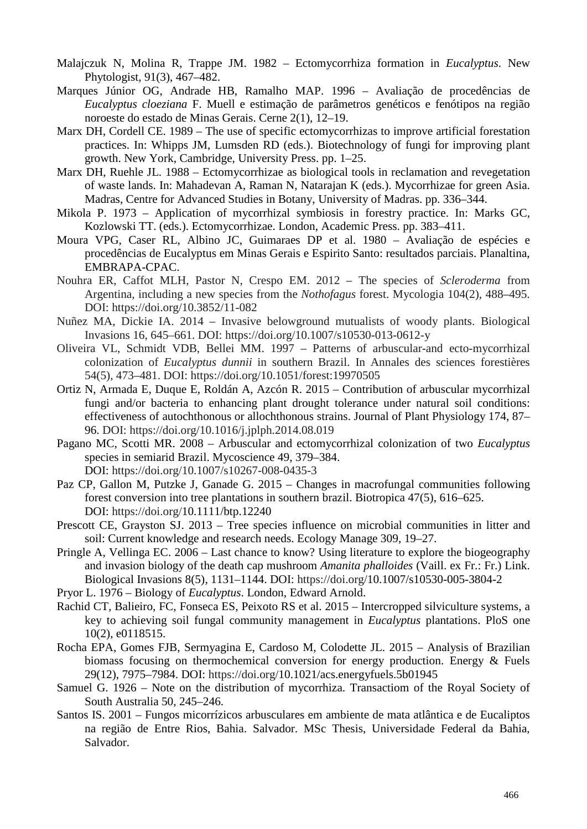- Malajczuk N, Molina R, Trappe JM. 1982 Ectomycorrhiza formation in *Eucalyptus*. New Phytologist, 91(3), 467–482.
- Marques Júnior OG, Andrade HB, Ramalho MAP. 1996 Avaliação de procedências de *Eucalyptus cloeziana* F. Muell e estimação de parâmetros genéticos e fenótipos na região noroeste do estado de Minas Gerais. Cerne 2(1), 12–19.
- Marx DH, Cordell CE. 1989 The use of specific ectomycorrhizas to improve artificial forestation practices. In: Whipps JM, Lumsden RD (eds.). Biotechnology of fungi for improving plant growth. New York, Cambridge, University Press. pp. 1–25.
- Marx DH, Ruehle JL. 1988 Ectomycorrhizae as biological tools in reclamation and revegetation of waste lands. In: Mahadevan A, Raman N, Natarajan K (eds.). Mycorrhizae for green Asia. Madras, Centre for Advanced Studies in Botany, University of Madras. pp. 336–344.
- Mikola P. 1973 Application of mycorrhizal symbiosis in forestry practice. In: Marks GC, Kozlowski TT. (eds.). Ectomycorrhizae. London, Academic Press. pp. 383–411.
- Moura VPG, Caser RL, Albino JC, Guimaraes DP et al. 1980 Avaliação de espécies e procedências de Eucalyptus em Minas Gerais e Espirito Santo: resultados parciais. Planaltina, EMBRAPA-CPAC.
- Nouhra ER, Caffot MLH, Pastor N, Crespo EM. 2012 The species of *Scleroderma* from Argentina, including a new species from the *Nothofagus* forest. Mycologia 104(2), 488–495. DOI: https://doi.org/10.3852/11-082
- Nuñez MA, Dickie IA. 2014 Invasive belowground mutualists of woody plants. Biological Invasions 16, 645–661. DOI: https://doi.org/10.1007/s10530-013-0612-y
- Oliveira VL, Schmidt VDB, Bellei MM. 1997 Patterns of arbuscular-and ecto-mycorrhizal colonization of *Eucalyptus dunnii* in southern Brazil. In Annales des sciences forestières 54(5), 473–481. DOI: https://doi.org/10.1051/forest:19970505
- Ortiz N, Armada E, Duque E, Roldán A, Azcón R. 2015 Contribution of arbuscular mycorrhizal fungi and/or bacteria to enhancing plant drought tolerance under natural soil conditions: effectiveness of autochthonous or allochthonous strains. Journal of Plant Physiology 174, 87– 96. DOI: https://doi.org/10.1016/j.jplph.2014.08.019
- Pagano MC, Scotti MR. 2008 Arbuscular and ectomycorrhizal colonization of two *Eucalyptus* species in semiarid Brazil. Mycoscience 49, 379–384. DOI: https://doi.org/10.1007/s10267-008-0435-3
- Paz CP, Gallon M, Putzke J, Ganade G. 2015 Changes in macrofungal communities following forest conversion into tree plantations in southern brazil. Biotropica 47(5), 616–625. DOI: https://doi.org/10.1111/btp.12240
- Prescott CE, Grayston SJ. 2013 Tree species influence on microbial communities in litter and soil: Current knowledge and research needs. Ecology Manage 309, 19–27.
- Pringle A, Vellinga EC. 2006 Last chance to know? Using literature to explore the biogeography and invasion biology of the death cap mushroom *Amanita phalloides* (Vaill. ex Fr.: Fr.) Link. Biological Invasions 8(5), 1131–1144. DOI: https://doi.org/10.1007/s10530-005-3804-2
- Pryor L. 1976 Biology of *Eucalyptus*. London, Edward Arnold.
- Rachid CT, Balieiro, FC, Fonseca ES, Peixoto RS et al. 2015 Intercropped silviculture systems, a key to achieving soil fungal community management in *Eucalyptus* plantations. PloS one 10(2), e0118515.
- Rocha EPA, Gomes FJB, Sermyagina E, Cardoso M, Colodette JL. 2015 Analysis of Brazilian biomass focusing on thermochemical conversion for energy production. Energy  $\&$  Fuels 29(12), 7975–7984. DOI: https://doi.org/10.1021/acs.energyfuels.5b01945
- Samuel G. 1926 Note on the distribution of mycorrhiza. Transactiom of the Royal Society of South Australia 50, 245–246.
- Santos IS. 2001 Fungos micorrízicos arbusculares em ambiente de mata atlântica e de Eucaliptos na região de Entre Rios, Bahia. Salvador. MSc Thesis, Universidade Federal da Bahia, Salvador.